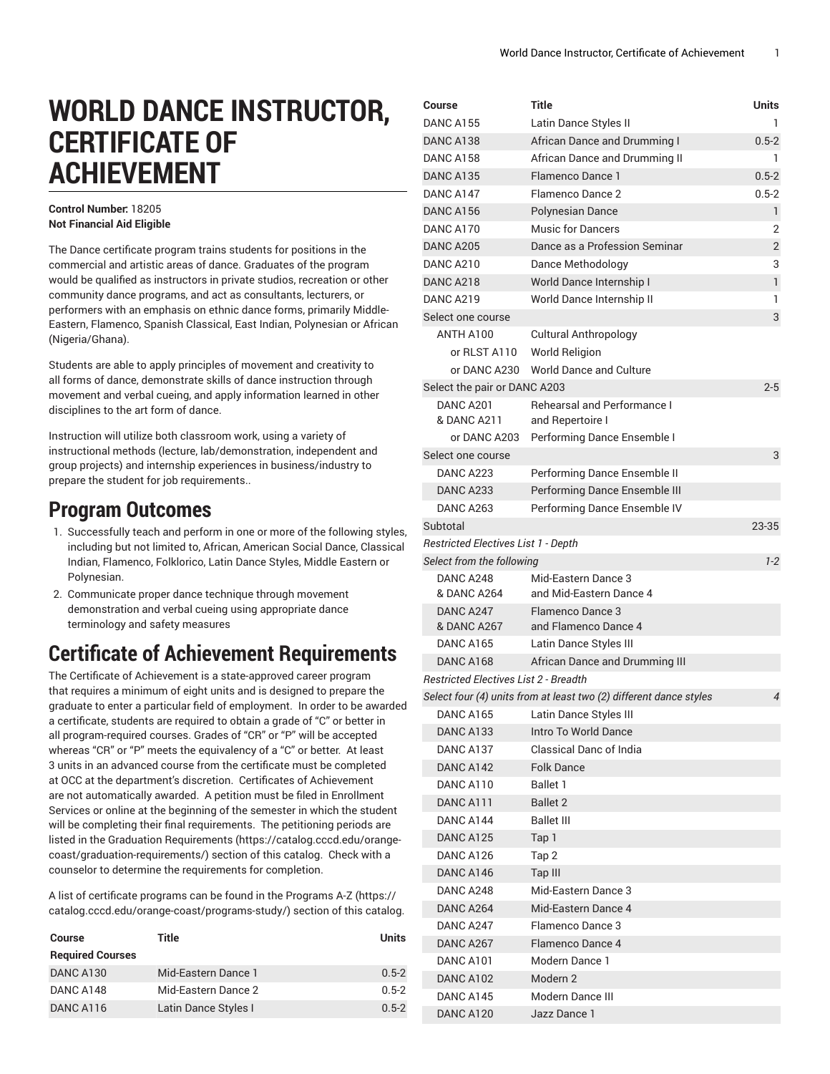# **WORLD DANCE INSTRUCTOR, CERTIFICATE OF ACHIEVEMENT**

#### **Control Number:** 18205 **Not Financial Aid Eligible**

The Dance certificate program trains students for positions in the commercial and artistic areas of dance. Graduates of the program would be qualified as instructors in private studios, recreation or other community dance programs, and act as consultants, lecturers, or performers with an emphasis on ethnic dance forms, primarily Middle-Eastern, Flamenco, Spanish Classical, East Indian, Polynesian or African (Nigeria/Ghana).

Students are able to apply principles of movement and creativity to all forms of dance, demonstrate skills of dance instruction through movement and verbal cueing, and apply information learned in other disciplines to the art form of dance.

Instruction will utilize both classroom work, using a variety of instructional methods (lecture, lab/demonstration, independent and group projects) and internship experiences in business/industry to prepare the student for job requirements..

### **Program Outcomes**

- 1. Successfully teach and perform in one or more of the following styles, including but not limited to, African, American Social Dance, Classical Indian, Flamenco, Folklorico, Latin Dance Styles, Middle Eastern or Polynesian.
- 2. Communicate proper dance technique through movement demonstration and verbal cueing using appropriate dance terminology and safety measures

# **Certificate of Achievement Requirements**

The Certificate of Achievement is a state-approved career program that requires a minimum of eight units and is designed to prepare the graduate to enter a particular field of employment. In order to be awarded a certificate, students are required to obtain a grade of "C" or better in all program-required courses. Grades of "CR" or "P" will be accepted whereas "CR" or "P" meets the equivalency of a "C" or better. At least 3 units in an advanced course from the certificate must be completed at OCC at the department's discretion. Certificates of Achievement are not automatically awarded. A petition must be filed in Enrollment Services or online at the beginning of the semester in which the student will be completing their final requirements. The petitioning periods are listed in the Graduation [Requirements \(https://catalog.cccd.edu/orange](https://catalog.cccd.edu/orange-coast/graduation-requirements/)[coast/graduation-requirements/\)](https://catalog.cccd.edu/orange-coast/graduation-requirements/) section of this catalog. Check with a counselor to determine the requirements for completion.

A list of certificate programs can be found in the [Programs](https://catalog.cccd.edu/orange-coast/programs-study/) A-Z ([https://](https://catalog.cccd.edu/orange-coast/programs-study/) [catalog.cccd.edu/orange-coast/programs-study/\)](https://catalog.cccd.edu/orange-coast/programs-study/) section of this catalog.

| <b>Course</b>           | Title                | Units     |
|-------------------------|----------------------|-----------|
| <b>Required Courses</b> |                      |           |
| DANC A130               | Mid-Eastern Dance 1  | $0.5 - 2$ |
| DANC A148               | Mid-Eastern Dance 2  | $0.5 - 2$ |
| DANC A116               | Latin Dance Styles I | $0.5 - 2$ |

| Course                                     | Title                                                              | Units        |
|--------------------------------------------|--------------------------------------------------------------------|--------------|
| <b>DANC A155</b>                           | Latin Dance Styles II                                              | 1            |
| DANC A138                                  | African Dance and Drumming I                                       | $0.5 - 2$    |
| DANC A158                                  | African Dance and Drumming II                                      | 1            |
| DANC A135                                  | Flamenco Dance 1                                                   | $0.5 - 2$    |
| DANC A147                                  | Flamenco Dance 2                                                   | $0.5 - 2$    |
| DANC A156                                  | Polynesian Dance                                                   | 1            |
| DANC A170                                  | <b>Music for Dancers</b>                                           | 2            |
| <b>DANC A205</b>                           | Dance as a Profession Seminar                                      | 2            |
| DANC A210                                  | Dance Methodology                                                  | 3            |
| DANC A218                                  | World Dance Internship I                                           | $\mathbf{1}$ |
| <b>DANC A219</b>                           | World Dance Internship II                                          | 1            |
| Select one course                          |                                                                    | 3            |
| ANTH A100                                  | <b>Cultural Anthropology</b>                                       |              |
| or RLST A110                               | <b>World Religion</b>                                              |              |
| or DANC A230                               | <b>World Dance and Culture</b>                                     |              |
| Select the pair or DANC A203               |                                                                    | $2 - 5$      |
| DANC A201<br>& DANC A211                   | <b>Rehearsal and Performance I</b><br>and Repertoire I             |              |
| or DANC A203                               | Performing Dance Ensemble I                                        |              |
| Select one course                          |                                                                    |              |
| DANC A223                                  |                                                                    | 3            |
|                                            | Performing Dance Ensemble II                                       |              |
| DANC A233<br>DANC A263                     | Performing Dance Ensemble III                                      |              |
|                                            | Performing Dance Ensemble IV                                       |              |
| Subtotal                                   |                                                                    | 23-35        |
| <b>Restricted Electives List 1 - Depth</b> |                                                                    |              |
| Select from the following<br>DANC A248     | Mid-Eastern Dance 3                                                | $1 - 2$      |
| & DANC A264                                | and Mid-Eastern Dance 4                                            |              |
| DANC A247<br>& DANC A267                   | Flamenco Dance 3<br>and Flamenco Dance 4                           |              |
| DANC A165                                  | Latin Dance Styles III                                             |              |
| DANC A168                                  | African Dance and Drumming III                                     |              |
| Restricted Electives List 2 - Breadth      |                                                                    |              |
|                                            | Select four (4) units from at least two (2) different dance styles | 4            |
| DANC A165                                  | Latin Dance Styles III                                             |              |
| DANC A133                                  | Intro To World Dance                                               |              |
| DANC A137                                  | Classical Danc of India                                            |              |
| DANC A142                                  | <b>Folk Dance</b>                                                  |              |
| DANC A110                                  | Ballet 1                                                           |              |
| DANC A111                                  | <b>Ballet 2</b>                                                    |              |
| DANC A144                                  | <b>Ballet III</b>                                                  |              |
| DANC A125                                  | Tap 1                                                              |              |
| DANC A126                                  | Tap 2                                                              |              |
| DANC A146                                  | Tap III                                                            |              |
| DANC A248                                  | Mid-Eastern Dance 3                                                |              |
| DANC A264                                  | Mid-Eastern Dance 4                                                |              |
| DANC A247                                  | Flamenco Dance 3                                                   |              |
| DANC A267                                  | Flamenco Dance 4                                                   |              |
| DANC A101                                  | Modern Dance 1                                                     |              |
| DANC A102                                  | Modern 2                                                           |              |
| DANC A145                                  | Modern Dance III                                                   |              |
| DANC A120                                  | Jazz Dance 1                                                       |              |
|                                            |                                                                    |              |